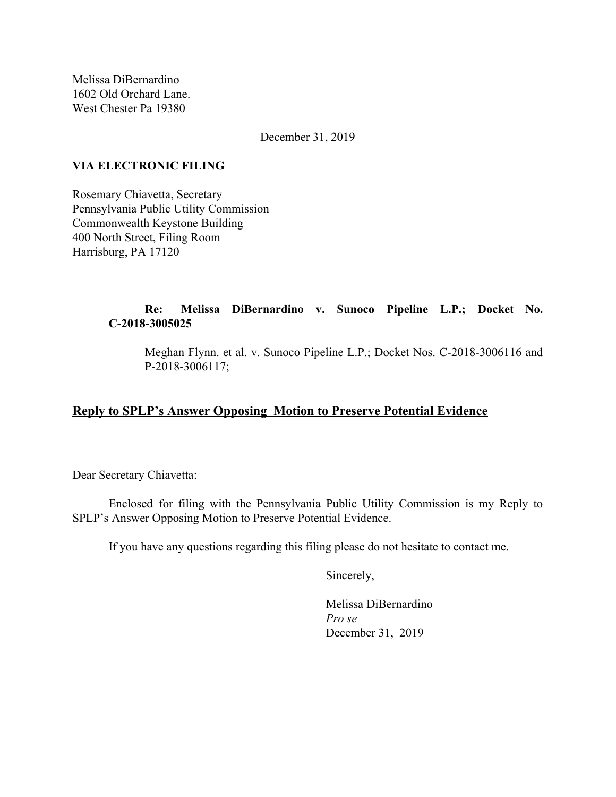Melissa DiBernardino 1602 Old Orchard Lane. West Chester Pa 19380

December 31, 2019

### **VIA ELECTRONIC FILING**

Rosemary Chiavetta, Secretary Pennsylvania Public Utility Commission Commonwealth Keystone Building 400 North Street, Filing Room Harrisburg, PA 17120

# **Re: Melissa DiBernardino v. Sunoco Pipeline L.P.; Docket No. C-2018-3005025**

Meghan Flynn. et al. v. Sunoco Pipeline L.P.; Docket Nos. C-2018-3006116 and P-2018-3006117;

# **Reply to SPLP's Answer Opposing Motion to Preserve Potential Evidence**

Dear Secretary Chiavetta:

Enclosed for filing with the Pennsylvania Public Utility Commission is my Reply to SPLP's Answer Opposing Motion to Preserve Potential Evidence.

If you have any questions regarding this filing please do not hesitate to contact me.

Sincerely,

Melissa DiBernardino *Pro se* December 31, 2019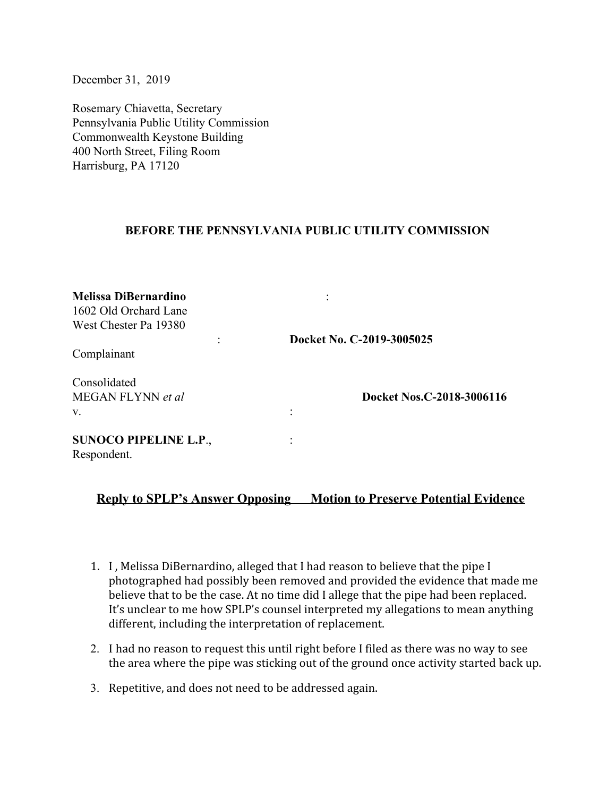December 31, 2019

Rosemary Chiavetta, Secretary Pennsylvania Public Utility Commission Commonwealth Keystone Building 400 North Street, Filing Room Harrisburg, PA 17120

#### **BEFORE THE PENNSYLVANIA PUBLIC UTILITY COMMISSION**

| <b>Melissa DiBernardino</b><br>1602 Old Orchard Lane |                           |
|------------------------------------------------------|---------------------------|
| West Chester Pa 19380                                |                           |
|                                                      | Docket No. C-2019-3005025 |
| Complainant                                          |                           |
| Consolidated                                         |                           |
| MEGAN FLYNN et al                                    | Docket Nos.C-2018-3006116 |
| V.                                                   |                           |
| <b>SUNOCO PIPELINE L.P.,</b><br>Respondent.          |                           |

# **Reply to SPLP's Answer Opposing Motion to Preserve Potential Evidence**

- 1. I , Melissa DiBernardino, alleged that I had reason to believe that the pipe I photographed had possibly been removed and provided the evidence that made me believe that to be the case. At no time did I allege that the pipe had been replaced. It's unclear to me how SPLP's counsel interpreted my allegations to mean anything different, including the interpretation of replacement.
- 2. I had no reason to request this until right before I filed as there was no way to see the area where the pipe was sticking out of the ground once activity started back up.
- 3. Repetitive, and does not need to be addressed again.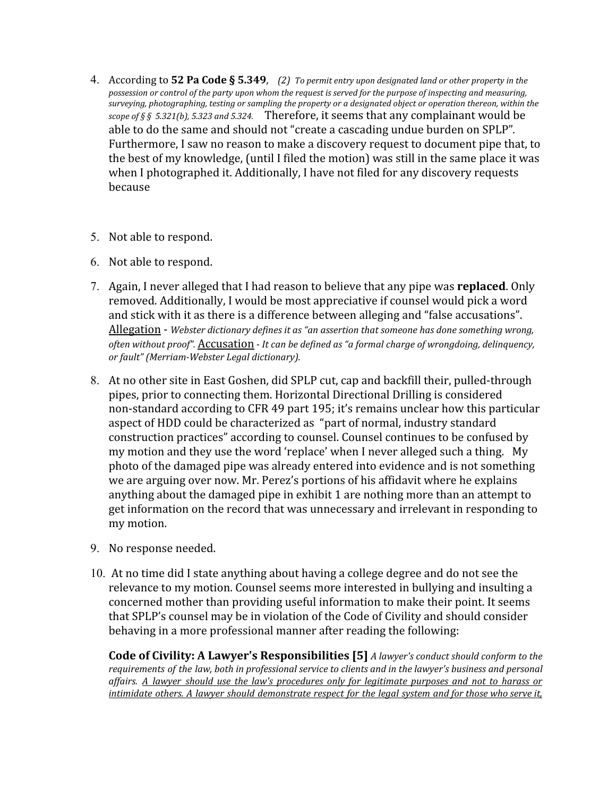- 4. According to **52 Pa Code § 5.349**, *(2) To permit entry upon designated land or other property in the possession or control of the party upon whom the request is served for the purpose of inspecting and measuring, surveying, photographing, testing or sampling the property or a designated object or operation thereon, within the scope of § § 5.321(b), 5.323 and 5.324.* Therefore, it seems that any complainant would be able to do the same and should not "create a cascading undue burden on SPLP"*.* Furthermore, I saw no reason to make a discovery request to document pipe that, to the best of my knowledge, (until I filed the motion) was still in the same place it was when I photographed it. Additionally, I have not filed for any discovery requests because
- 5. Not able to respond.
- 6. Not able to respond.
- 7. Again, I never alleged that I had reason to believe that any pipe was **replaced**. Only removed. Additionally, I would be most appreciative if counsel would pick a word and stick with it as there is a difference between alleging and "false accusations". Allegation - *Webster dictionary defines it as "an assertion that someone has done something wrong, often without proof".* Accusation - *It can be defined as "a formal charge of wrongdoing, delinquency, or fault" (Merriam-Webster Legal dictionary).*
- 8. At no other site in East Goshen, did SPLP cut, cap and backfill their, pulled-through pipes, prior to connecting them. Horizontal Directional Drilling is considered non-standard according to CFR 49 part 195; it's remains unclear how this particular aspect of HDD could be characterized as "part of normal, industry standard construction practices" according to counsel. Counsel continues to be confused by my motion and they use the word 'replace' when I never alleged such a thing. My photo of the damaged pipe was already entered into evidence and is not something we are arguing over now. Mr. Perez's portions of his affidavit where he explains anything about the damaged pipe in exhibit 1 are nothing more than an attempt to get information on the record that was unnecessary and irrelevant in responding to my motion.
- 9. No response needed.
- 10. At no time did I state anything about having a college degree and do not see the relevance to my motion. Counsel seems more interested in bullying and insulting a concerned mother than providing useful information to make their point. It seems that SPLP's counsel may be in violation of the Code of Civility and should consider behaving in a more professional manner after reading the following:

**Code of Civility: A Lawyer's Responsibilities [5]** *A lawyer's conduct should conform to the* requirements of the law, both in professional service to clients and in the lawyer's business and personal affairs. A lawyer should use the law's procedures only for legitimate purposes and not to harass or *intimidate others. A lawyer should demonstrate respect for the legal system and for those who serve it,*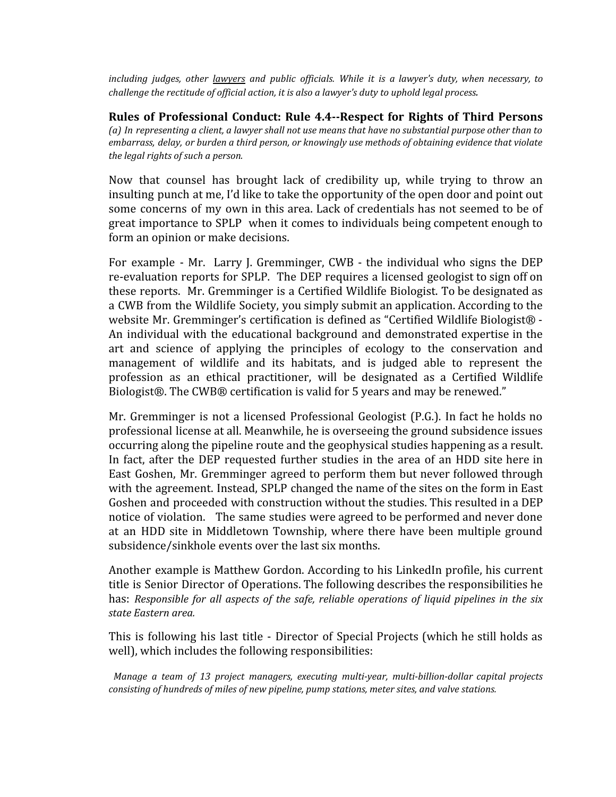*including judges, other lawyers and public of icials. While it is a lawyer's duty, when necessary, to challenge the rectitude of of icial action, it is also a lawyer's duty to uphold legal process.*

**Rules of Professional Conduct: Rule 4.4--Respect for Rights of Third Persons** (a) In representing a client, a lawyer shall not use means that have no substantial purpose other than to *embarrass, delay, or burden a third person, or knowingly use methods of obtaining evidence that violate the legal rights of such a person.*

Now that counsel has brought lack of credibility up, while trying to throw an insulting punch at me, I'd like to take the opportunity of the open door and point out some concerns of my own in this area. Lack of credentials has not seemed to be of great importance to SPLP when it comes to individuals being competent enough to form an opinion or make decisions.

For example - Mr. Larry J. Gremminger, CWB - the individual who signs the DEP re-evaluation reports for SPLP. The DEP requires a licensed geologist to sign off on these reports. Mr. Gremminger is a Certified Wildlife Biologist. To be designated as a CWB from the Wildlife Society, you simply submit an application. According to the website Mr. Gremminger's certification is defined as "Certified Wildlife Biologist® - An individual with the educational background and demonstrated expertise in the art and science of applying the principles of ecology to the conservation and management of wildlife and its habitats, and is judged able to represent the profession as an ethical practitioner, will be designated as a Certified Wildlife Biologist®. The CWB® certification is valid for 5 years and may be renewed."

Mr. Gremminger is not a licensed Professional Geologist (P.G.). In fact he holds no professional license at all. Meanwhile, he is overseeing the ground subsidence issues occurring along the pipeline route and the geophysical studies happening as a result. In fact, after the DEP requested further studies in the area of an HDD site here in East Goshen, Mr. Gremminger agreed to perform them but never followed through with the agreement. Instead, SPLP changed the name of the sites on the form in East Goshen and proceeded with construction without the studies. This resulted in a DEP notice of violation. The same studies were agreed to be performed and never done at an HDD site in Middletown Township, where there have been multiple ground subsidence/sinkhole events over the last six months.

Another example is Matthew Gordon. According to his LinkedIn profile, his current title is Senior Director of Operations. The following describes the responsibilities he has: *Responsible for all aspects of the safe, reliable operations of liquid pipelines in the six state Eastern area.*

This is following his last title - Director of Special Projects (which he still holds as well), which includes the following responsibilities:

*Manage a team of 13 project managers, executing multi-year, multi-billion-dollar capital projects consisting of hundreds of miles of new pipeline, pump stations, meter sites, and valve stations.*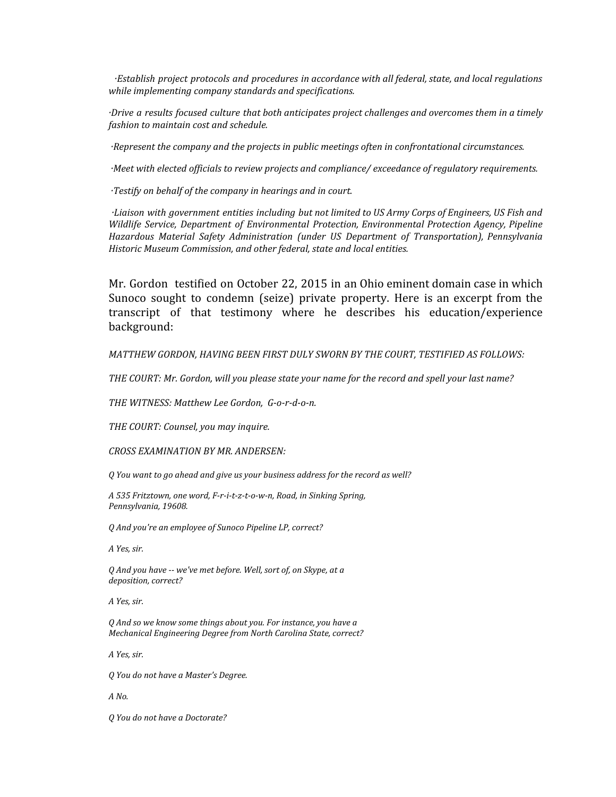*·Establish project protocols and procedures in accordance with all federal, state, and local regulations while implementing company standards and specifications.*

*·Drive a results focused culture that both anticipates project challenges and overcomes them in a timely fashion to maintain cost and schedule.*

*·Represent the company and the projects in public meetings often in confrontational circumstances.*

*·Meet with elected of icials to review projects and compliance/ exceedance of regulatory requirements.*

*·Testify on behalf of the company in hearings and in court.*

*·Liaison with government entities including but not limited to US Army Corps of Engineers, US Fish and Wildlife Service, Department of Environmental Protection, Environmental Protection Agency, Pipeline Hazardous Material Safety Administration (under US Department of Transportation), Pennsylvania Historic Museum Commission, and other federal, state and local entities.*

Mr. Gordon testified on October 22, 2015 in an Ohio eminent domain case in which Sunoco sought to condemn (seize) private property. Here is an excerpt from the transcript of that testimony where he describes his education/experience background:

*MATTHEW GORDON, HAVING BEEN FIRST DULY SWORN BY THE COURT, TESTIFIED AS FOLLOWS:*

*THE COURT: Mr. Gordon, will you please state your name for the record and spell your last name?*

*THE WITNESS: Matthew Lee Gordon, G-o-r-d-o-n.*

*THE COURT: Counsel, you may inquire.*

*CROSS EXAMINATION BY MR. ANDERSEN:*

*Q You want to go ahead and give us your business address for the record as well?*

*A 535 Fritztown, one word, F-r-i-t-z-t-o-w-n, Road, in Sinking Spring, Pennsylvania, 19608.*

*Q And you're an employee of Sunoco Pipeline LP, correct?*

*A Yes, sir.*

*Q And you have -- we've met before. Well, sort of, on Skype, at a deposition, correct?*

*A Yes, sir.*

*Q And so we know some things about you. For instance, you have a Mechanical Engineering Degree from North Carolina State, correct?*

*A Yes, sir.*

*Q You do not have a Master's Degree.*

*A No.*

*Q You do not have a Doctorate?*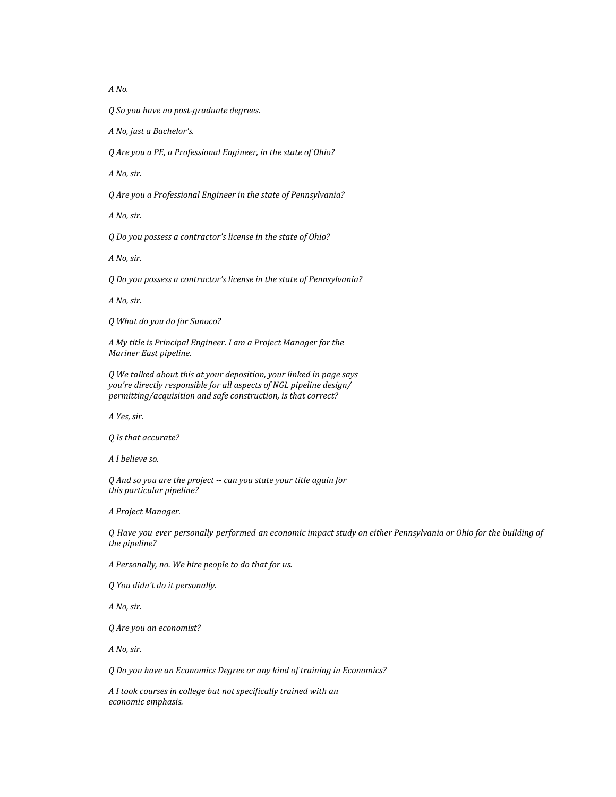*A No.*

*Q So you have no post-graduate degrees.*

*A No, just a Bachelor's.*

*Q Are you a PE, a Professional Engineer, in the state of Ohio?*

*A No, sir.*

*Q Are you a Professional Engineer in the state of Pennsylvania?*

*A No, sir.*

*Q Do you possess a contractor's license in the state of Ohio?*

*A No, sir.*

*Q Do you possess a contractor's license in the state of Pennsylvania?*

*A No, sir.*

*Q What do you do for Sunoco?*

*A My title is Principal Engineer. I am a Project Manager for the Mariner East pipeline.*

*Q We talked about this at your deposition, your linked in page says you're directly responsible for all aspects of NGL pipeline design/ permitting/acquisition and safe construction, is that correct?*

*A Yes, sir.*

*Q Is that accurate?*

*A I believe so.*

*Q And so you are the project -- can you state your title again for this particular pipeline?*

*A Project Manager.*

Q Have you ever personally performed an economic impact study on either Pennsylvania or Ohio for the building of *the pipeline?*

*A Personally, no. We hire people to do that for us.*

*Q You didn't do it personally.*

*A No, sir.*

*Q Are you an economist?*

*A No, sir.*

*Q Do you have an Economics Degree or any kind of training in Economics?*

*A I took courses in college but not specifically trained with an economic emphasis.*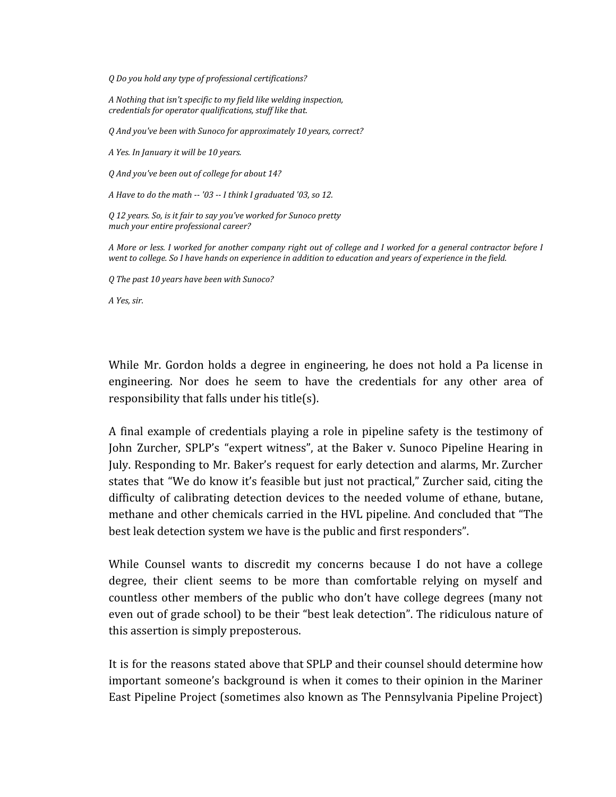*Q Do you hold any type of professional certifications?*

*A Nothing that isn't specific to my field like welding inspection, credentials for operator qualifications, stuff like that.*

*Q And you've been with Sunoco for approximately 10 years, correct?*

*A Yes. In January it will be 10 years.*

*Q And you've been out of college for about 14?*

*A Have to do the math -- '03 -- I think I graduated '03, so 12.*

*Q 12 years. So, is it fair to say you've worked for Sunoco pretty much your entire professional career?*

A More or less. I worked for another company right out of college and I worked for a general contractor before I *went to college. So I have hands on experience in addition to education and years of experience in the field.*

*Q The past 10 years have been with Sunoco?*

*A Yes, sir.*

While Mr. Gordon holds a degree in engineering, he does not hold a Pa license in engineering. Nor does he seem to have the credentials for any other area of responsibility that falls under his title(s).

A final example of credentials playing a role in pipeline safety is the testimony of John Zurcher, SPLP's "expert witness", at the Baker v. Sunoco Pipeline Hearing in July. Responding to Mr. Baker's request for early detection and alarms, Mr. Zurcher states that "We do know it's feasible but just not practical," Zurcher said, citing the difficulty of calibrating detection devices to the needed volume of ethane, butane, methane and other chemicals carried in the HVL pipeline. And concluded that "The best leak detection system we have is the public and first responders".

While Counsel wants to discredit my concerns because I do not have a college degree, their client seems to be more than comfortable relying on myself and countless other members of the public who don't have college degrees (many not even out of grade school) to be their "best leak detection". The ridiculous nature of this assertion is simply preposterous.

It is for the reasons stated above that SPLP and their counsel should determine how important someone's background is when it comes to their opinion in the Mariner East Pipeline Project (sometimes also known as The Pennsylvania Pipeline Project)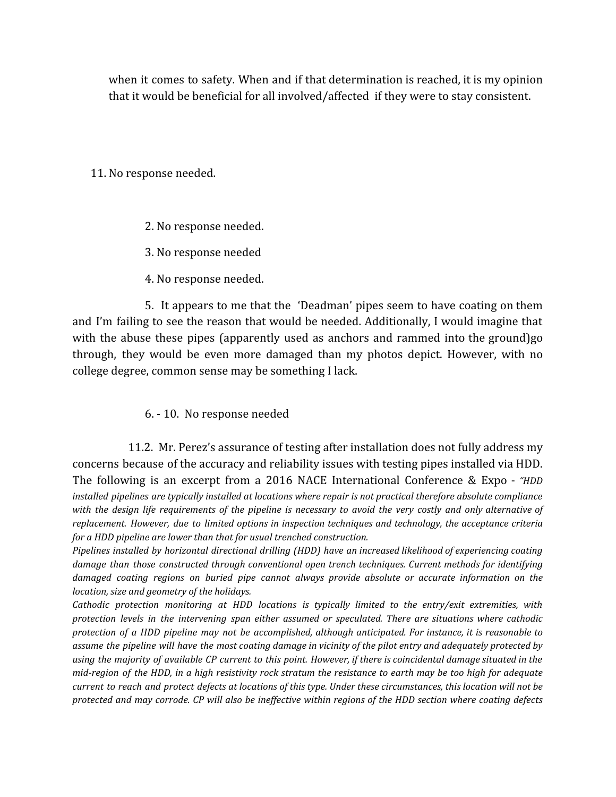when it comes to safety. When and if that determination is reached, it is my opinion that it would be beneficial for all involved/affected if they were to stay consistent.

11. No response needed.

2. No response needed.

3. No response needed

4. No response needed.

5. It appears to me that the 'Deadman' pipes seem to have coating on them and I'm failing to see the reason that would be needed. Additionally, I would imagine that with the abuse these pipes (apparently used as anchors and rammed into the ground)go through, they would be even more damaged than my photos depict. However, with no college degree, common sense may be something I lack.

6. - 10. No response needed

11.2. Mr. Perez's assurance of testing after installation does not fully address my concerns because of the accuracy and reliability issues with testing pipes installed via HDD. The following is an excerpt from a 2016 NACE International Conference & Expo - *"HDD installed pipelines are typically installed at locations where repair is not practical therefore absolute compliance* with the design life requirements of the pipeline is necessary to avoid the very costly and only alternative of *replacement. However, due to limited options in inspection techniques and technology, the acceptance criteria for a HDD pipeline are lower than that for usual trenched construction.*

*Pipelines installed by horizontal directional drilling (HDD) have an increased likelihood of experiencing coating damage than those constructed through conventional open trench techniques. Current methods for identifying damaged coating regions on buried pipe cannot always provide absolute or accurate information on the location, size and geometry of the holidays.*

*Cathodic protection monitoring at HDD locations is typically limited to the entry/exit extremities, with protection levels in the intervening span either assumed or speculated. There are situations where cathodic* protection of a HDD pipeline may not be accomplished, although anticipated. For instance, it is reasonable to assume the pipeline will have the most coating damage in vicinity of the pilot entry and adequately protected by using the majority of available CP current to this point. However, if there is coincidental damage situated in the mid-region of the HDD, in a high resistivity rock stratum the resistance to earth may be too high for adequate current to reach and protect defects at locations of this type. Under these circumstances, this location will not be protected and may corrode. CP will also be ineffective within regions of the HDD section where coating defects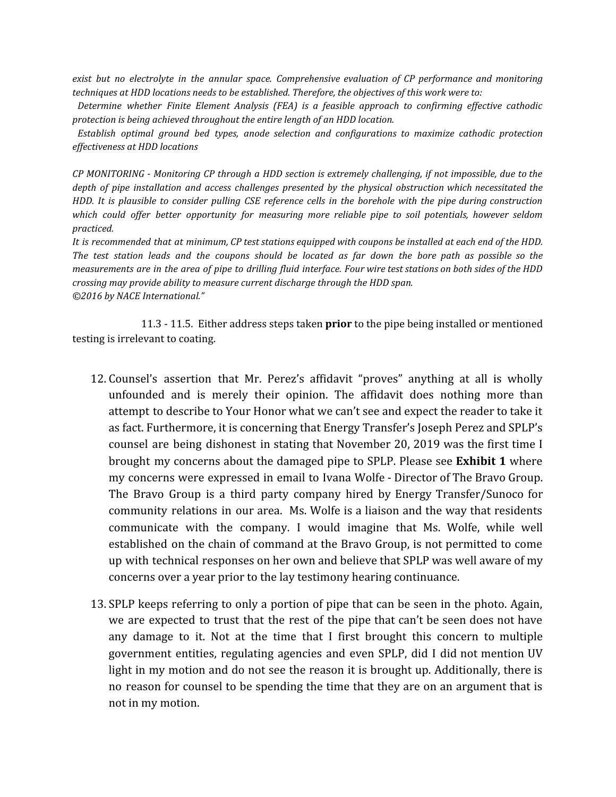*exist but no electrolyte in the annular space. Comprehensive evaluation of CP performance and monitoring techniques at HDD locations needs to be established. Therefore, the objectives of this work were to:*

*Determine whether Finite Element Analysis (FEA) is a feasible approach to confirming ef ective cathodic protection is being achieved throughout the entire length of an HDD location.*

*Establish optimal ground bed types, anode selection and configurations to maximize cathodic protection ef ectiveness at HDD locations*

CP MONITORING - Monitoring CP through a HDD section is extremely challenging, if not impossible, due to the *depth of pipe installation and access challenges presented by the physical obstruction which necessitated the* HDD. It is plausible to consider pulling CSE reference cells in the borehole with the pipe during construction *which could of er better opportunity for measuring more reliable pipe to soil potentials, however seldom practiced.*

It is recommended that at minimum, CP test stations equipped with coupons be installed at each end of the HDD. The test station leads and the coupons should be located as far down the bore path as possible so the measurements are in the area of pipe to drilling fluid interface. Four wire test stations on both sides of the HDD *crossing may provide ability to measure current discharge through the HDD span. ©2016 by NACE International."*

11.3 - 11.5. Either address steps taken **prior** to the pipe being installed or mentioned testing is irrelevant to coating.

- 12. Counsel's assertion that Mr. Perez's affidavit "proves" anything at all is wholly unfounded and is merely their opinion. The affidavit does nothing more than attempt to describe to Your Honor what we can't see and expect the reader to take it as fact. Furthermore, it is concerning that Energy Transfer's Joseph Perez and SPLP's counsel are being dishonest in stating that November 20, 2019 was the first time I brought my concerns about the damaged pipe to SPLP. Please see **Exhibit 1** where my concerns were expressed in email to Ivana Wolfe - Director of The Bravo Group. The Bravo Group is a third party company hired by Energy Transfer/Sunoco for community relations in our area. Ms. Wolfe is a liaison and the way that residents communicate with the company. I would imagine that Ms. Wolfe, while well established on the chain of command at the Bravo Group, is not permitted to come up with technical responses on her own and believe that SPLP was well aware of my concerns over a year prior to the lay testimony hearing continuance.
- 13. SPLP keeps referring to only a portion of pipe that can be seen in the photo. Again, we are expected to trust that the rest of the pipe that can't be seen does not have any damage to it. Not at the time that I first brought this concern to multiple government entities, regulating agencies and even SPLP, did I did not mention UV light in my motion and do not see the reason it is brought up. Additionally, there is no reason for counsel to be spending the time that they are on an argument that is not in my motion.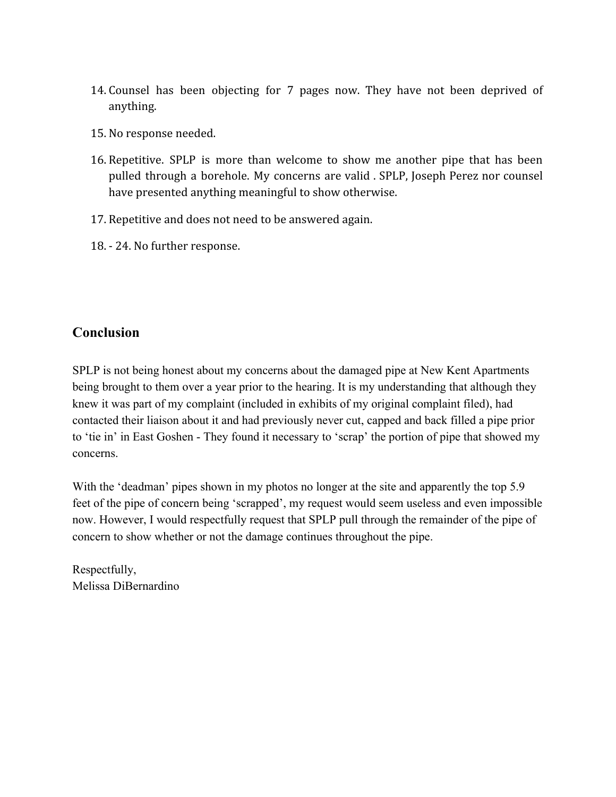- 14. Counsel has been objecting for 7 pages now. They have not been deprived of anything.
- 15. No response needed.
- 16. Repetitive. SPLP is more than welcome to show me another pipe that has been pulled through a borehole. My concerns are valid . SPLP, Joseph Perez nor counsel have presented anything meaningful to show otherwise.
- 17. Repetitive and does not need to be answered again.
- 18. 24. No further response.

# **Conclusion**

SPLP is not being honest about my concerns about the damaged pipe at New Kent Apartments being brought to them over a year prior to the hearing. It is my understanding that although they knew it was part of my complaint (included in exhibits of my original complaint filed), had contacted their liaison about it and had previously never cut, capped and back filled a pipe prior to 'tie in' in East Goshen - They found it necessary to 'scrap' the portion of pipe that showed my concerns.

With the 'deadman' pipes shown in my photos no longer at the site and apparently the top 5.9 feet of the pipe of concern being 'scrapped', my request would seem useless and even impossible now. However, I would respectfully request that SPLP pull through the remainder of the pipe of concern to show whether or not the damage continues throughout the pipe.

Respectfully, Melissa DiBernardino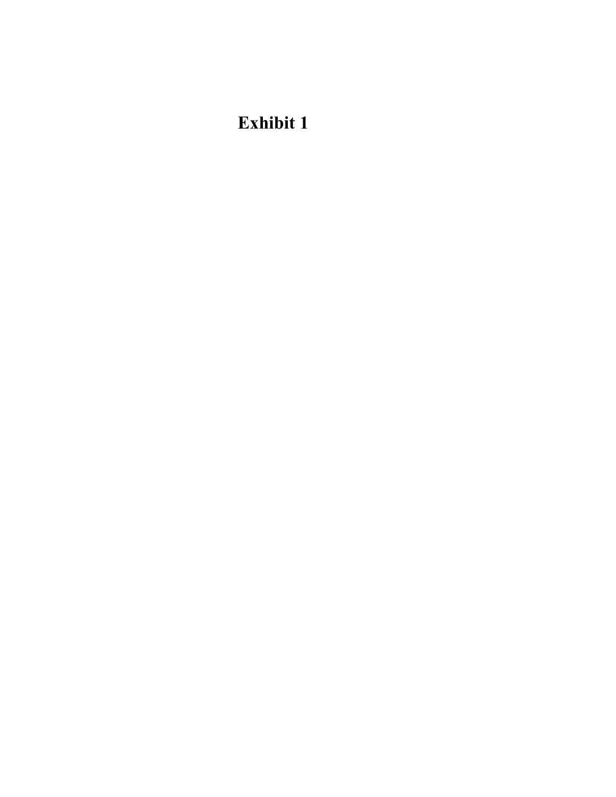**Exhibit 1**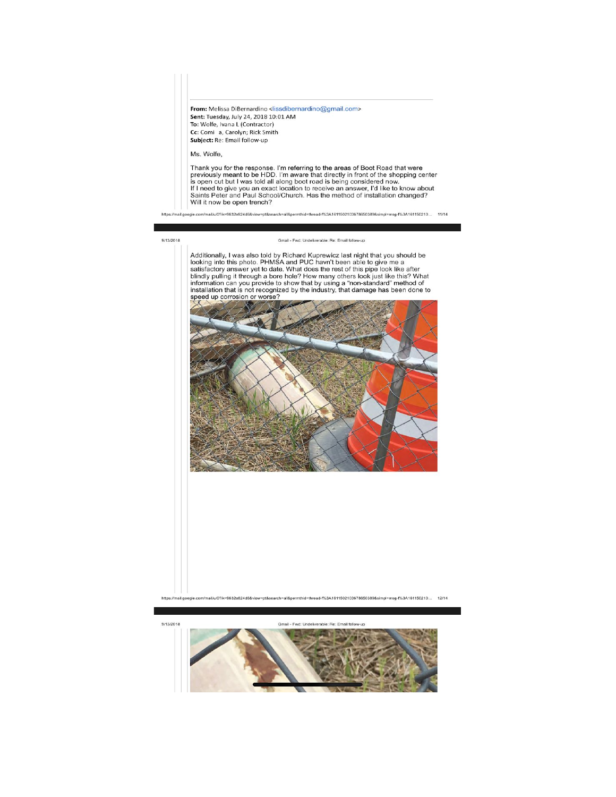From: Melissa DiBernardino <lissdibernardino@gmail.com> Sent: Tuesday, July 24, 2018 10:01 AM To: Wolfe, Ivana L (Contractor) Cc: Comi a, Carolyn; Rick Smith Subject: Re: Email follow-up

Ms. Wolfe,

9/13/2018

Thank you for the response. I'm referring to the areas of Boot Road that were<br>previously meant to be HDD. I'm aware that directly in front of the shopping center<br>is open cut but I was told all along boot road is being cons

https://mail.google.com/mail/u/07ik=9632e824d6&view=pt&search=all&permthid=thread-f%3A1611502103678650389&simpl=msg-f%3A161150210... 11/14

#### Gmail - Fwd: Undeliverable: Re: Email follow-up





Gmail - Fwd: Undeliverable: Re: Email foll

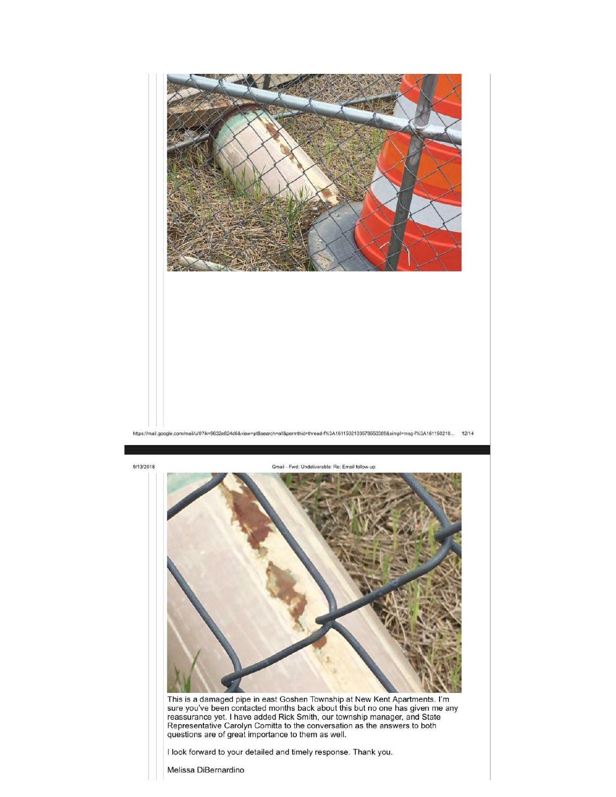

9/13/2018



This is a damaged pipe in east Goshen Township at New Kent Apartments. I'm<br>sure you've been contacted months back about this but no one has given me any<br>reassurance yet. I have added Rick Smith, our township manager, and S

I look forward to your detailed and timely response. Thank you.

Melissa DiBernardino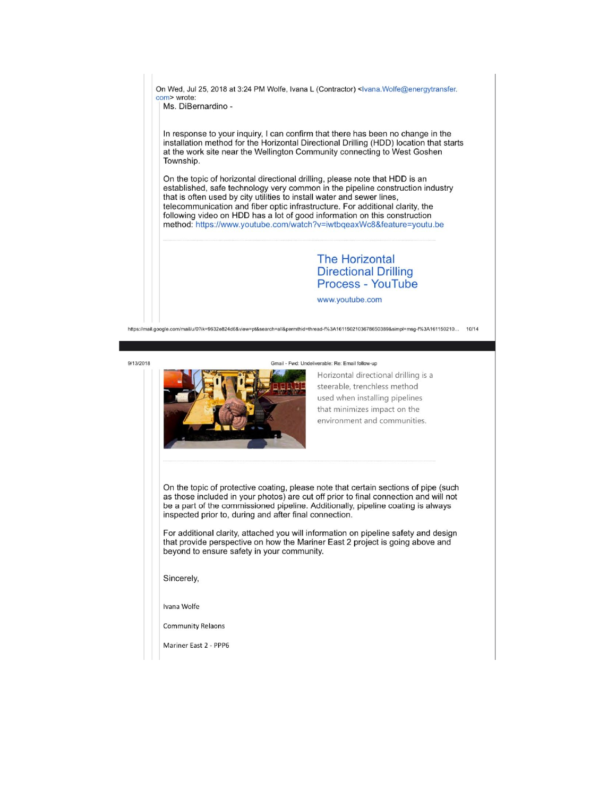

9/13/2018

Gmail - Fwd: Undeliverable: Re: Email follow-up



Horizontal directional drilling is a steerable, trenchless method used when installing pipelines that minimizes impact on the environment and communities.

On the topic of protective coating, please note that certain sections of pipe (such as those included in your photos) are cut off prior to final connection and will not be a part of the commissioned pipeline. Additionally, pipeline coating is always inspected prior to, during and after final connection.

For additional clarity, attached you will information on pipeline safety and design that provide perspective on how the Mariner East 2 project is going above and beyond to ensure safety in your community.

Sincerely,

Ivana Wolfe

**Community Relaons** 

Mariner East 2 - PPP6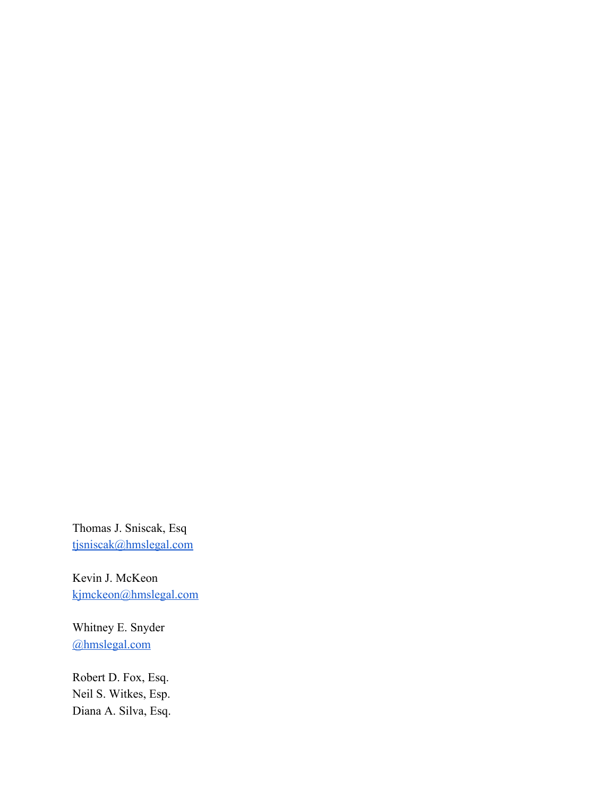Thomas J. Sniscak, Esq [tjsniscak@hmslegal.com](mailto:tjsniscak@hmslegal.com)

Kevin J. McKeon [kjmckeon@hmslegal.com](mailto:kjmckeon@hmslegal.com)

Whitney E. Snyder [@hmslegal.com](mailto:wesnyder@hmslegal.com)

Robert D. Fox, Esq. Neil S. Witkes, Esp. Diana A. Silva, Esq.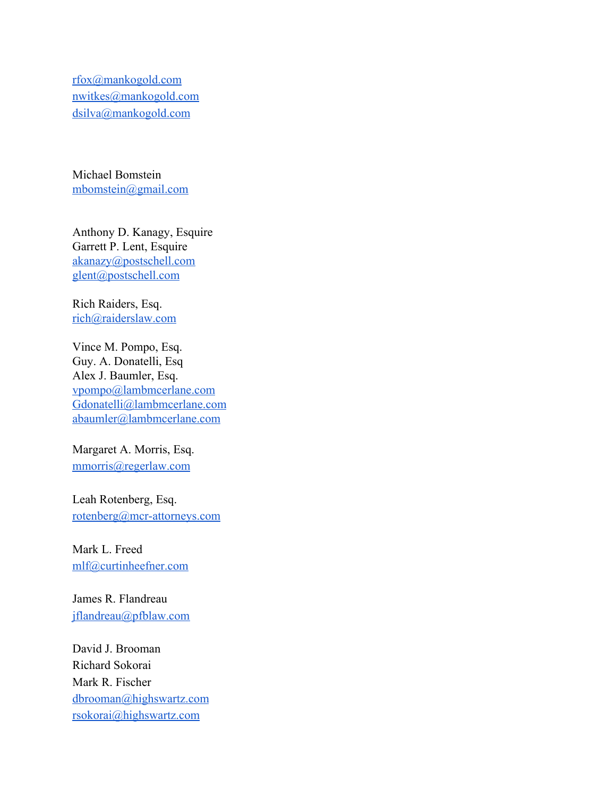[rfox@mankogold.com](mailto:rfox@mankogold.com) [nwitkes@mankogold.com](mailto:nwitkes@mankogold.com) [dsilva@mankogold.com](mailto:dsilva@mankogold.com)

Michael Bomstein [mbomstein@gmail.com](mailto:mbomstein@gmail.com)

Anthony D. Kanagy, Esquire Garrett P. Lent, Esquire [akanazy@postschell.com](mailto:akanazy@postschell.com) [glent@postschell.com](mailto:glent@postschell.com)

Rich Raiders, Esq. [rich@raiderslaw.com](mailto:rich@raiderslaw.com)

Vince M. Pompo, Esq. Guy. A. Donatelli, Esq Alex J. Baumler, Esq. [vpompo@lambmcerlane.com](mailto:vpompo@lambmcerlane.com) [Gdonatelli@lambmcerlane.com](mailto:Gdonatelli@lambmcerlane.com) [abaumler@lambmcerlane.com](mailto:abaumler@lambmcerlane.com)

Margaret A. Morris, Esq. [mmorris@regerlaw.com](mailto:mmorris@regerlaw.com)

Leah Rotenberg, Esq. [rotenberg@mcr-attorneys.com](mailto:rotenberg@mcr-attorneys.com)

Mark L. Freed [mlf@curtinheefner.com](mailto:mlf@curtinheefner.com)

James R. Flandreau [jflandreau@pfblaw.com](mailto:jflandreau@pfblaw.com)

David J. Brooman Richard Sokorai Mark R. Fischer [dbrooman@highswartz.com](mailto:dbrooman@highswartz.com) [rsokorai@highswartz.com](mailto:rsokorai@highswartz.com)